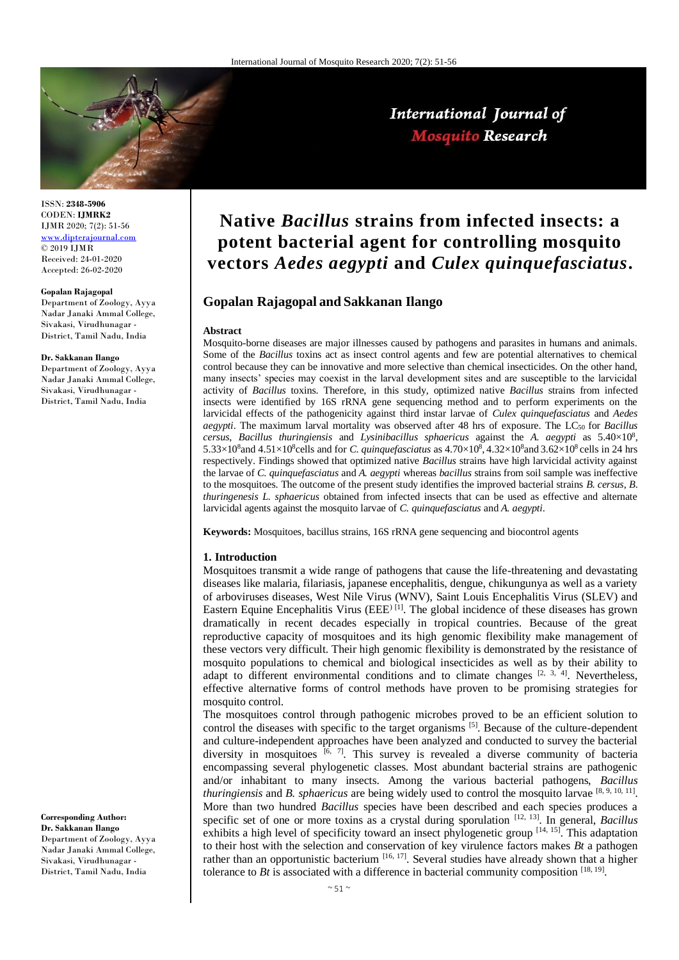

ISSN: **2348-5906** CODEN: **IJMRK2** IJMR 2020; 7(2): 51-56 [www.dipterajournal.com](http://www.dipterajournal.com/)  $\odot$  2019 IJMR Received: 24-01-2020 Accepted: 26-02-2020

#### **Gopalan Rajagopal**

Department of Zoology, Ayya Nadar Janaki Ammal College, Sivakasi, Virudhunagar - District, Tamil Nadu, India

#### **Dr. Sakkanan Ilango**

Department of Zoology, Ayya Nadar Janaki Ammal College, Sivakasi, Virudhunagar - District, Tamil Nadu, India

**Corresponding Author: Dr. Sakkanan Ilango**

Department of Zoology, Ayya Nadar Janaki Ammal College, Sivakasi, Virudhunagar - District, Tamil Nadu, India

# **Native** *Bacillus* **strains from infected insects: a potent bacterial agent for controlling mosquito vectors** *Aedes aegypti* **and** *Culex quinquefasciatus***.**

## **Gopalan Rajagopal and Sakkanan Ilango**

#### **Abstract**

Mosquito-borne diseases are major illnesses caused by pathogens and parasites in humans and animals. Some of the *Bacillus* toxins act as insect control agents and few are potential alternatives to chemical control because they can be innovative and more selective than chemical insecticides. On the other hand, many insects' species may coexist in the larval development sites and are susceptible to the larvicidal activity of *Bacillus* toxins. Therefore, in this study, optimized native *Bacillus* strains from infected insects were identified by 16S rRNA gene sequencing method and to perform experiments on the larvicidal effects of the pathogenicity against third instar larvae of *Culex quinquefasciatus* and *Aedes aegypti*. The maximum larval mortality was observed after 48 hrs of exposure. The LC<sub>50</sub> for *Bacillus cersus*, *Bacillus thuringiensis* and *Lysinibacillus sphaericus* against the *A. aegypti* as 5.40×10<sup>8</sup> , 5.33×10<sup>8</sup> and 4.51×10<sup>8</sup> cells and for *C. quinquefasciatus* as  $4.70\times10^{8}$ ,  $4.32\times10^{8}$  and  $3.62\times10^{8}$  cells in 24 hrs respectively. Findings showed that optimized native *Bacillus* strains have high larvicidal activity against the larvae of *C*. *quinquefasciatus* and *A. aegypti* whereas *bacillus* strains from soil sample was ineffective to the mosquitoes. The outcome of the present study identifies the improved bacterial strains *B*. *cersus*, *B*. *thuringenesis L. sphaericus* obtained from infected insects that can be used as effective and alternate larvicidal agents against the mosquito larvae of *C. quinquefasciatus* and *A. aegypti*.

**Keywords:** Mosquitoes*,* bacillus strains, 16S rRNA gene sequencing and biocontrol agents

#### **1. Introduction**

Mosquitoes transmit a wide range of pathogens that cause the life-threatening and devastating diseases like malaria, filariasis, japanese encephalitis, dengue, chikungunya as well as a variety of arboviruses diseases, West Nile Virus (WNV), Saint Louis Encephalitis Virus (SLEV) and Eastern Equine Encephalitis Virus (EEE<sup>) [1]</sup>. The global incidence of these diseases has grown dramatically in recent decades especially in tropical countries. Because of the great reproductive capacity of mosquitoes and its high genomic flexibility make management of these vectors very difficult. Their high genomic flexibility is demonstrated by the resistance of mosquito populations to chemical and biological insecticides as well as by their ability to adapt to different environmental conditions and to climate changes  $[2, 3, 4]$ . Nevertheless, effective alternative forms of control methods have proven to be promising strategies for mosquito control.

The mosquitoes control through pathogenic microbes proved to be an efficient solution to control the diseases with specific to the target organisms <sup>[5]</sup>. Because of the culture-dependent and culture-independent approaches have been analyzed and conducted to survey the bacterial diversity in mosquitoes  $[6, 7]$ . This survey is revealed a diverse community of bacteria encompassing several phylogenetic classes. Most abundant bacterial strains are pathogenic and/or inhabitant to many insects. Among the various bacterial pathogens, *Bacillus thuringiensis* and *B. sphaericus* are being widely used to control the mosquito larvae [8, 9, 10, 11]. More than two hundred *Bacillus* species have been described and each species produces a specific set of one or more toxins as a crystal during sporulation <sup>[12, 13]</sup>. In general, *Bacillus* exhibits a high level of specificity toward an insect phylogenetic group [14, 15]. This adaptation to their host with the selection and conservation of key virulence factors makes *Bt* a pathogen rather than an opportunistic bacterium  $[16, 17]$ . Several studies have already shown that a higher tolerance to  $Bt$  is associated with a difference in bacterial community composition  $[18, 19]$ .

## International Journal of **Mosquito Research**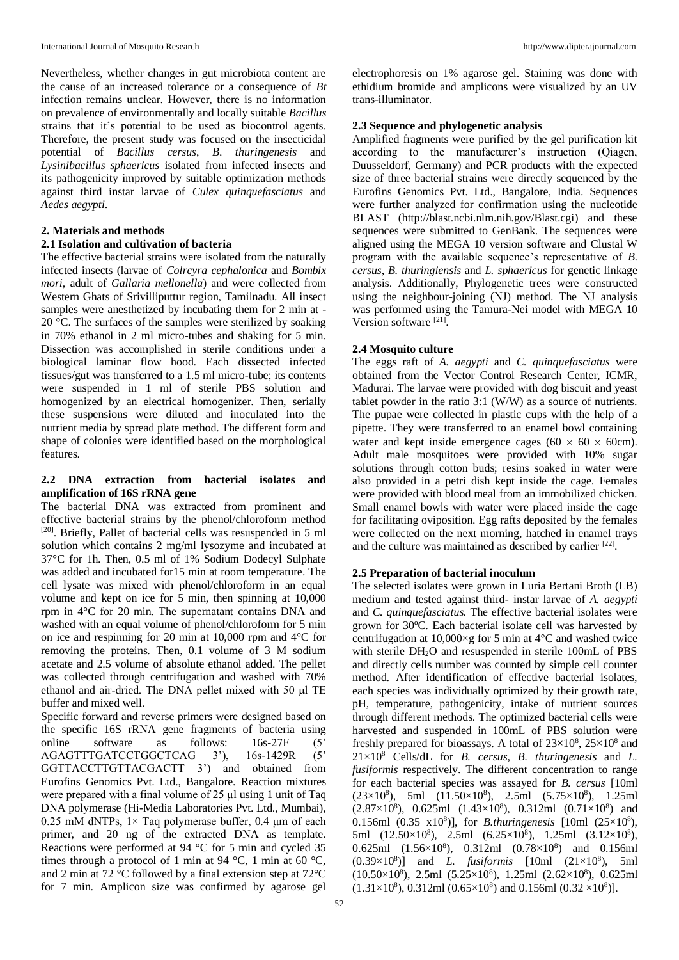Nevertheless, whether changes in gut microbiota content are the cause of an increased tolerance or a consequence of *Bt* infection remains unclear. However, there is no information on prevalence of environmentally and locally suitable *Bacillus* strains that it's potential to be used as biocontrol agents. Therefore, the present study was focused on the insecticidal potential of *Bacillus cersus*, *B*. *thuringenesis* and *Lysinibacillus sphaericus* isolated from infected insects and its pathogenicity improved by suitable optimization methods against third instar larvae of *Culex quinquefasciatus* and *Aedes aegypti*.

## **2. Materials and methods**

### **2.1 Isolation and cultivation of bacteria**

The effective bacterial strains were isolated from the naturally infected insects (larvae of *Colrcyra cephalonica* and *Bombix mori,* adult of *Gallaria mellonella*) and were collected from Western Ghats of Srivilliputtur region, Tamilnadu. All insect samples were anesthetized by incubating them for 2 min at - 20 °C. The surfaces of the samples were sterilized by soaking in 70% ethanol in 2 ml micro-tubes and shaking for 5 min. Dissection was accomplished in sterile conditions under a biological laminar flow hood. Each dissected infected tissues/gut was transferred to a 1.5 ml micro-tube; its contents were suspended in 1 ml of sterile PBS solution and homogenized by an electrical homogenizer. Then, serially these suspensions were diluted and inoculated into the nutrient media by spread plate method. The different form and shape of colonies were identified based on the morphological features.

## **2.2 DNA extraction from bacterial isolates and amplification of 16S rRNA gene**

The bacterial DNA was extracted from prominent and effective bacterial strains by the phenol/chloroform method [20]. Briefly, Pallet of bacterial cells was resuspended in 5 ml solution which contains 2 mg/ml lysozyme and incubated at 37°C for 1h. Then, 0.5 ml of 1% Sodium Dodecyl Sulphate was added and incubated for15 min at room temperature. The cell lysate was mixed with phenol/chloroform in an equal volume and kept on ice for 5 min, then spinning at 10,000 rpm in 4°C for 20 min. The supernatant contains DNA and washed with an equal volume of phenol/chloroform for 5 min on ice and respinning for 20 min at 10,000 rpm and 4°C for removing the proteins. Then, 0.1 volume of 3 M sodium acetate and 2.5 volume of absolute ethanol added. The pellet was collected through centrifugation and washed with 70% ethanol and air-dried. The DNA pellet mixed with 50 μl TE buffer and mixed well.

Specific forward and reverse primers were designed based on the specific 16S rRNA gene fragments of bacteria using online software as follows: 16s-27F (5' AGAGTTTGATCCTGGCTCAG 3'), 16s-1429R (5' GGTTACCTTGTTACGACTT 3') and obtained from Eurofins Genomics Pvt. Ltd., Bangalore. Reaction mixtures were prepared with a final volume of 25 μl using 1 unit of Taq DNA polymerase (Hi-Media Laboratories Pvt. Ltd., Mumbai), 0.25 mM dNTPs,  $1 \times$  Taq polymerase buffer, 0.4  $\mu$ m of each primer, and 20 ng of the extracted DNA as template. Reactions were performed at 94 °C for 5 min and cycled 35 times through a protocol of 1 min at 94 °C, 1 min at 60 °C, and 2 min at 72 °C followed by a final extension step at 72°C for 7 min. Amplicon size was confirmed by agarose gel

electrophoresis on 1% agarose gel. Staining was done with ethidium bromide and amplicons were visualized by an UV trans-illuminator.

## **2.3 Sequence and phylogenetic analysis**

Amplified fragments were purified by the gel purification kit according to the manufacturer's instruction (Qiagen, Duusseldorf, Germany) and PCR products with the expected size of three bacterial strains were directly sequenced by the Eurofins Genomics Pvt. Ltd., Bangalore, India. Sequences were further analyzed for confirmation using the nucleotide BLAST (http://blast.ncbi.nlm.nih.gov/Blast.cgi) and these sequences were submitted to GenBank. The sequences were aligned using the MEGA 10 version software and Clustal W program with the available sequence's representative of *B. cersus*, *B. thuringiensis* and *L. sphaericus* for genetic linkage analysis. Additionally, Phylogenetic trees were constructed using the neighbour-joining (NJ) method. The NJ analysis was performed using the Tamura-Nei model with MEGA 10 Version software [21].

## **2.4 Mosquito culture**

The eggs raft of *A. aegypti* and *C. quinquefasciatus* were obtained from the Vector Control Research Center, ICMR, Madurai. The larvae were provided with dog biscuit and yeast tablet powder in the ratio 3:1 (W/W) as a source of nutrients. The pupae were collected in plastic cups with the help of a pipette. They were transferred to an enamel bowl containing water and kept inside emergence cages (60  $\times$  60  $\times$  60cm). Adult male mosquitoes were provided with 10% sugar solutions through cotton buds; resins soaked in water were also provided in a petri dish kept inside the cage. Females were provided with blood meal from an immobilized chicken. Small enamel bowls with water were placed inside the cage for facilitating oviposition. Egg rafts deposited by the females were collected on the next morning, hatched in enamel trays and the culture was maintained as described by earlier  $[22]$ .

### **2.5 Preparation of bacterial inoculum**

The selected isolates were grown in Luria Bertani Broth (LB) medium and tested against third- instar larvae of *A. aegypti*  and *C. quinquefasciatus.* The effective bacterial isolates were grown for 30ºC. Each bacterial isolate cell was harvested by centrifugation at 10,000 $\times$ g for 5 min at 4 $\rm{°C}$  and washed twice with sterile DH<sub>2</sub>O and resuspended in sterile 100mL of PBS and directly cells number was counted by simple cell counter method. After identification of effective bacterial isolates, each species was individually optimized by their growth rate, pH, temperature, pathogenicity, intake of nutrient sources through different methods. The optimized bacterial cells were harvested and suspended in 100mL of PBS solution were freshly prepared for bioassays. A total of  $23\times10^8$ ,  $25\times10^8$  and 21×10<sup>8</sup> Cells/dL for *B. cersus, B. thuringenesis* and *L. fusiformis* respectively. The different concentration to range for each bacterial species was assayed for *B. cersus* [10ml  $(23\times10^8)$ , 5ml  $(11.50\times10^8)$ , 2.5ml  $(5.75\times10^8)$ , 1.25ml  $(2.87 \times 10^8)$ , 0.625ml  $(1.43 \times 10^8)$ , 0.312ml  $(0.71 \times 10^8)$  and 0.156ml (0.35 x10<sup>8</sup>)], for *B.thuringenesis* [10ml (25×10<sup>8</sup>), 5ml  $(12.50 \times 10^8)$ , 2.5ml  $(6.25 \times 10^8)$ , 1.25ml  $(3.12 \times 10^8)$ , 0.625ml  $(1.56 \times 10^8)$ , 0.312ml  $(0.78 \times 10^8)$  and 0.156ml  $(0.39 \times 10^8)$ ] and *L. fusiformis* [10ml  $(21 \times 10^8)$ , 5ml  $(10.50\times10^{8})$ , 2.5ml  $(5.25\times10^{8})$ , 1.25ml  $(2.62\times10^{8})$ , 0.625ml  $(1.31\times10^{8})$ , 0.312ml  $(0.65\times10^{8})$  and 0.156ml  $(0.32\times10^{8})$ ].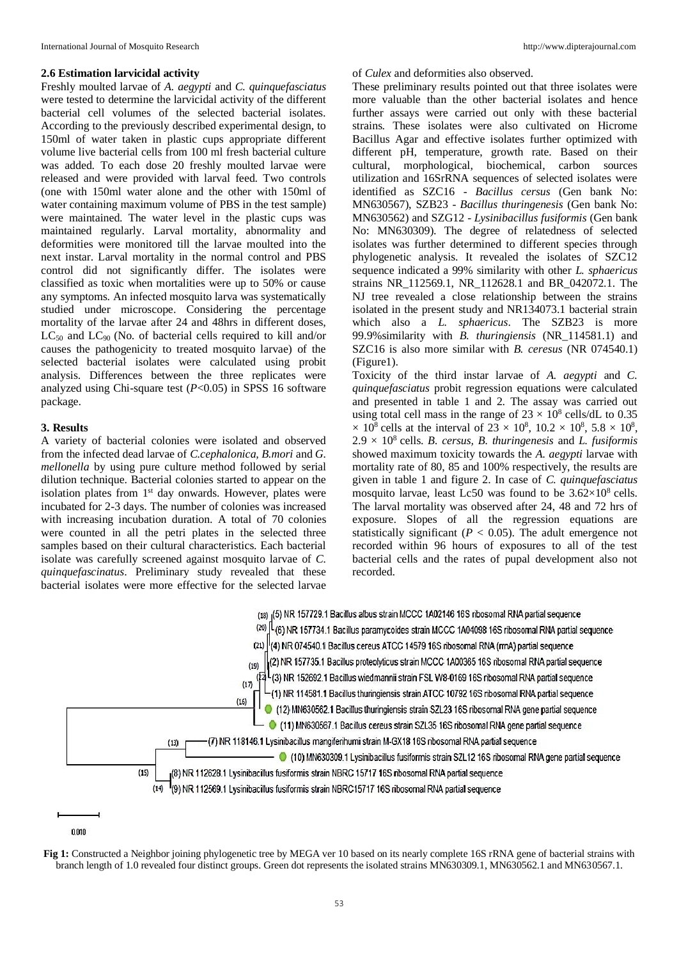#### **2.6 Estimation larvicidal activity**

Freshly moulted larvae of *A. aegypti* and *C. quinquefasciatus*  were tested to determine the larvicidal activity of the different bacterial cell volumes of the selected bacterial isolates. According to the previously described experimental design, to 150ml of water taken in plastic cups appropriate different volume live bacterial cells from 100 ml fresh bacterial culture was added. To each dose 20 freshly moulted larvae were released and were provided with larval feed. Two controls (one with 150ml water alone and the other with 150ml of water containing maximum volume of PBS in the test sample) were maintained. The water level in the plastic cups was maintained regularly. Larval mortality, abnormality and deformities were monitored till the larvae moulted into the next instar. Larval mortality in the normal control and PBS control did not significantly differ. The isolates were classified as toxic when mortalities were up to 50% or cause any symptoms. An infected mosquito larva was systematically studied under microscope. Considering the percentage mortality of the larvae after 24 and 48hrs in different doses,  $LC_{50}$  and  $LC_{90}$  (No. of bacterial cells required to kill and/or causes the pathogenicity to treated mosquito larvae) of the selected bacterial isolates were calculated using probit analysis. Differences between the three replicates were analyzed using Chi-square test (*P*<0.05) in SPSS 16 software package.

### **3. Results**

A variety of bacterial colonies were isolated and observed from the infected dead larvae of *C.cephalonica, B.mori* and *G. mellonella* by using pure culture method followed by serial dilution technique. Bacterial colonies started to appear on the isolation plates from 1<sup>st</sup> day onwards. However, plates were incubated for 2-3 days. The number of colonies was increased with increasing incubation duration. A total of 70 colonies were counted in all the petri plates in the selected three samples based on their cultural characteristics. Each bacterial isolate was carefully screened against mosquito larvae of *C. quinquefascinatus*. Preliminary study revealed that these bacterial isolates were more effective for the selected larvae of *Culex* and deformities also observed.

These preliminary results pointed out that three isolates were more valuable than the other bacterial isolates and hence further assays were carried out only with these bacterial strains. These isolates were also cultivated on Hicrome Bacillus Agar and effective isolates further optimized with different pH, temperature, growth rate. Based on their cultural, morphological, biochemical, carbon sources utilization and 16SrRNA sequences of selected isolates were identified as SZC16 - *Bacillus cersus* (Gen bank No: MN630567), SZB23 - *Bacillus thuringenesis* (Gen bank No: MN630562) and SZG12 - *Lysinibacillus fusiformis* (Gen bank No: MN630309). The degree of relatedness of selected isolates was further determined to different species through phylogenetic analysis. It revealed the isolates of SZC12 sequence indicated a 99% similarity with other *L. sphaericus*  strains NR\_112569.1, NR\_112628.1 and BR\_042072.1. The NJ tree revealed a close relationship between the strains isolated in the present study and NR134073.1 bacterial strain which also a *L. sphaericus*. The SZB23 is more 99.9%similarity with *B. thuringiensis* (NR\_114581.1) and SZC16 is also more similar with *B. ceresus* (NR 074540.1) (Figure1).

Toxicity of the third instar larvae of *A. aegypti* and *C. quinquefasciatus* probit regression equations were calculated and presented in table 1 and 2. The assay was carried out using total cell mass in the range of  $23 \times 10^8$  cells/dL to 0.35  $\times$  10<sup>8</sup> cells at the interval of 23  $\times$  10<sup>8</sup>, 10.2  $\times$  10<sup>8</sup>, 5.8  $\times$  10<sup>8</sup>,  $2.9 \times 10^8$  cells. *B. cersus, B. thuringenesis* and *L. fusiformis* showed maximum toxicity towards the *A. aegypti* larvae with mortality rate of 80, 85 and 100% respectively, the results are given in table 1 and figure 2. In case of *C. quinquefasciatus*  mosquito larvae, least Lc50 was found to be  $3.62\times10^8$  cells. The larval mortality was observed after 24, 48 and 72 hrs of exposure. Slopes of all the regression equations are statistically significant ( $P < 0.05$ ). The adult emergence not recorded within 96 hours of exposures to all of the test bacterial cells and the rates of pupal development also not recorded.



<sup>0.010</sup> 

**Fig 1:** Constructed a Neighbor joining phylogenetic tree by MEGA ver 10 based on its nearly complete 16S rRNA gene of bacterial strains with branch length of 1.0 revealed four distinct groups. Green dot represents the isolated strains MN630309.1, MN630562.1 and MN630567.1.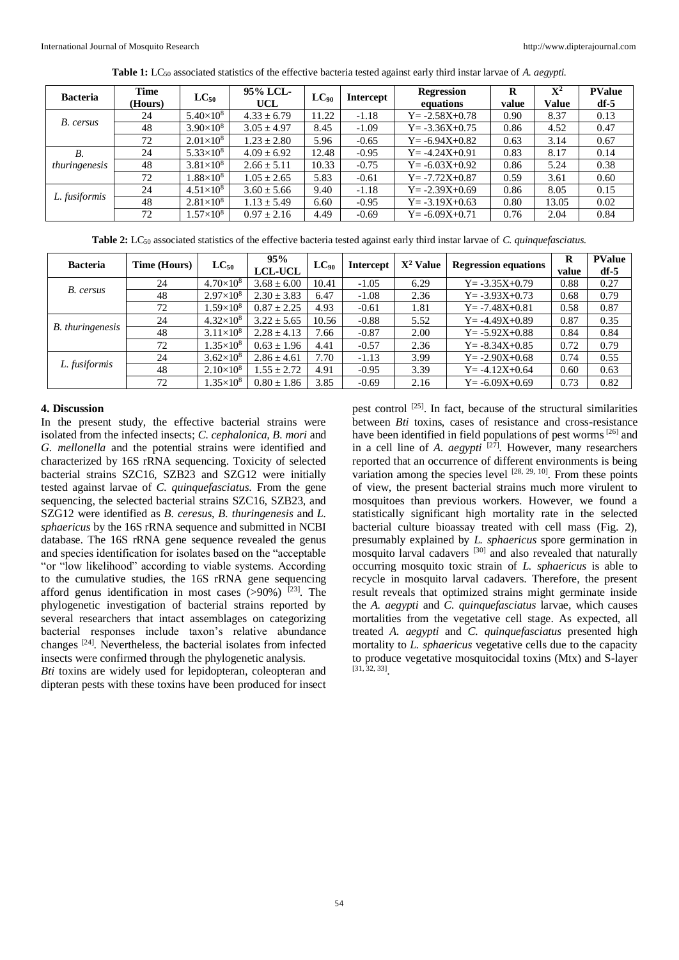| <b>Bacteria</b> | <b>Time</b><br>(Hours) | $LC_{50}$          | 95% LCL-<br>UCL | $LC_{90}$ | <b>Intercept</b> | <b>Regression</b><br>equations | R<br>value | $\mathbf{X}^2$<br>Value | <b>PValue</b><br>$df-5$ |
|-----------------|------------------------|--------------------|-----------------|-----------|------------------|--------------------------------|------------|-------------------------|-------------------------|
| B. cersus       | 24                     | $5.40\times10^{8}$ | $4.33 \pm 6.79$ | 11.22     | $-1.18$          | $Y = -2.58X + 0.78$            | 0.90       | 8.37                    | 0.13                    |
|                 | 48                     | $3.90\times10^{8}$ | $3.05 \pm 4.97$ | 8.45      | $-1.09$          | $Y = -3.36X + 0.75$            | 0.86       | 4.52                    | 0.47                    |
|                 | 72                     | $2.01\times10^{8}$ | $1.23 \pm 2.80$ | 5.96      | $-0.65$          | $Y = -6.94X + 0.82$            | 0.63       | 3.14                    | 0.67                    |
| <i>B</i> .      | 24                     | $5.33\times10^{8}$ | $4.09 \pm 6.92$ | 12.48     | $-0.95$          | $Y = -4.24X + 0.91$            | 0.83       | 8.17                    | 0.14                    |
| thuringenesis   | 48                     | $3.81\times10^{8}$ | $2.66 \pm 5.11$ | 10.33     | $-0.75$          | $Y = -6.03X + 0.92$            | 0.86       | 5.24                    | 0.38                    |
|                 | 72                     | $1.88\times10^{8}$ | $1.05 \pm 2.65$ | 5.83      | $-0.61$          | $Y = -7.72X + 0.87$            | 0.59       | 3.61                    | 0.60                    |
| L. fusiformis   | 24                     | $4.51\times10^{8}$ | $3.60 \pm 5.66$ | 9.40      | $-1.18$          | $Y = -2.39X + 0.69$            | 0.86       | 8.05                    | 0.15                    |
|                 | 48                     | $2.81\times10^{8}$ | $1.13 \pm 5.49$ | 6.60      | $-0.95$          | $Y = -3.19X + 0.63$            | 0.80       | 13.05                   | 0.02                    |
|                 | 72                     | $1.57\times10^{8}$ | $0.97 \pm 2.16$ | 4.49      | $-0.69$          | $Y = -6.09X + 0.71$            | 0.76       | 2.04                    | 0.84                    |

**Table 1:** LC<sup>50</sup> associated statistics of the effective bacteria tested against early third instar larvae of *A. aegypti.*

**Table 2:** LC<sup>50</sup> associated statistics of the effective bacteria tested against early third instar larvae of *C. quinquefasciatus.*

| <b>Bacteria</b>         | Time (Hours) | $LC_{50}$          | 95%<br><b>LCL-UCL</b> | $LC_{90}$ | <b>Intercept</b> | $X^2$ Value | <b>Regression equations</b> | R<br>value | <b>PValue</b><br>$df - 5$ |
|-------------------------|--------------|--------------------|-----------------------|-----------|------------------|-------------|-----------------------------|------------|---------------------------|
| B. cersus               | 24           | $4.70\times10^{8}$ | $3.68 \pm 6.00$       | 10.41     | $-1.05$          | 6.29        | $Y = -3.35X + 0.79$         | 0.88       | 0.27                      |
|                         | 48           | $2.97\times10^{8}$ | $2.30 \pm 3.83$       | 6.47      | $-1.08$          | 2.36        | $Y = -3.93X + 0.73$         | 0.68       | 0.79                      |
|                         | 72           | $1.59\times10^{8}$ | $0.87 \pm 2.25$       | 4.93      | $-0.61$          | 1.81        | $Y = -7.48X + 0.81$         | 0.58       | 0.87                      |
| <b>B.</b> thuringenesis | 24           | $4.32\times10^{8}$ | $3.22 \pm 5.65$       | 10.56     | $-0.88$          | 5.52        | $Y = -4.49X + 0.89$         | 0.87       | 0.35                      |
|                         | 48           | $3.11\times10^{8}$ | $2.28 \pm 4.13$       | 7.66      | $-0.87$          | 2.00        | $Y = -5.92X + 0.88$         | 0.84       | 0.84                      |
|                         | 72           | $1.35\times10^{8}$ | $0.63 \pm 1.96$       | 4.41      | $-0.57$          | 2.36        | $Y = -8.34X + 0.85$         | 0.72       | 0.79                      |
| L. fusiformis           | 24           | $3.62\times10^{8}$ | $2.86 \pm 4.61$       | 7.70      | $-1.13$          | 3.99        | $Y = -2.90X + 0.68$         | 0.74       | 0.55                      |
|                         | 48           | $2.10\times10^{8}$ | $1.55 \pm 2.72$       | 4.91      | $-0.95$          | 3.39        | $Y = -4.12X + 0.64$         | 0.60       | 0.63                      |
|                         | 72           | $1.35\times10^{8}$ | $0.80 \pm 1.86$       | 3.85      | $-0.69$          | 2.16        | $Y = -6.09X + 0.69$         | 0.73       | 0.82                      |

#### **4. Discussion**

In the present study, the effective bacterial strains were isolated from the infected insects; *C. cephalonica, B. mori* and *G. mellonella* and the potential strains were identified and characterized by 16S rRNA sequencing. Toxicity of selected bacterial strains SZC16, SZB23 and SZG12 were initially tested against larvae of *C. quinquefasciatus*. From the gene sequencing, the selected bacterial strains SZC16, SZB23, and SZG12 were identified as *B. ceresus*, *B. thuringenesis* and *L. sphaericus* by the 16S rRNA sequence and submitted in NCBI database. The 16S rRNA gene sequence revealed the genus and species identification for isolates based on the "acceptable "or "low likelihood" according to viable systems. According to the cumulative studies, the 16S rRNA gene sequencing afford genus identification in most cases  $(>90%)$ <sup>[23]</sup>. The phylogenetic investigation of bacterial strains reported by several researchers that intact assemblages on categorizing bacterial responses include taxon's relative abundance changes [24] . Nevertheless, the bacterial isolates from infected insects were confirmed through the phylogenetic analysis.

*Bti* toxins are widely used for lepidopteran, coleopteran and dipteran pests with these toxins have been produced for insect

pest control <sup>[25]</sup>. In fact, because of the structural similarities between *Bti* toxins, cases of resistance and cross-resistance have been identified in field populations of pest worms<sup>[26]</sup> and in a cell line of *A. aegypti* <sup>[27]</sup>. However, many researchers reported that an occurrence of different environments is being variation among the species level  $[28, 29, 10]$ . From these points of view, the present bacterial strains much more virulent to mosquitoes than previous workers. However, we found a statistically significant high mortality rate in the selected bacterial culture bioassay treated with cell mass (Fig. 2), presumably explained by *L. sphaericus* spore germination in mosquito larval cadavers [30] and also revealed that naturally occurring mosquito toxic strain of *L. sphaericus* is able to recycle in mosquito larval cadavers. Therefore, the present result reveals that optimized strains might germinate inside the *A. aegypti* and *C. quinquefasciatus* larvae, which causes mortalities from the vegetative cell stage. As expected, all treated *A. aegypti* and *C. quinquefasciatus* presented high mortality to *L. sphaericus* vegetative cells due to the capacity to produce vegetative mosquitocidal toxins (Mtx) and S-layer [31, 32, 33] .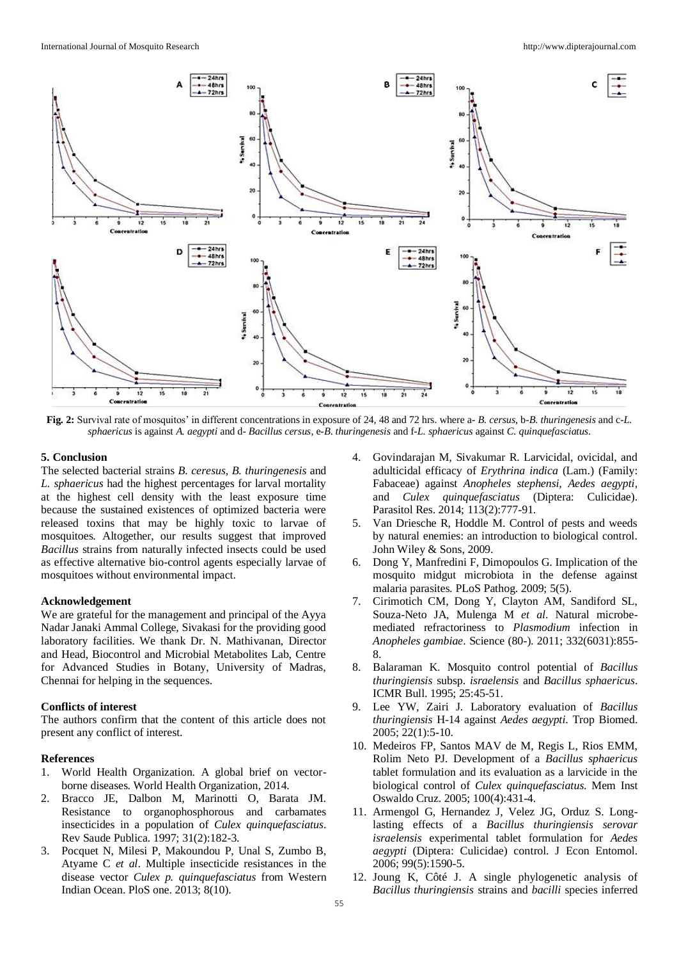

**Fig. 2:** Survival rate of mosquitos' in different concentrations in exposure of 24, 48 and 72 hrs. where a- *B. cersus*, b*-B*. *thuringenesis* and c-*L. sphaericus* is against *A. aegypti* and d- *Bacillus cersus*, e*-B*. *thuringenesis* and f-*L. sphaericus* against *C. quinquefasciatus.*

#### **5. Conclusion**

The selected bacterial strains *B. ceresus*, *B. thuringenesis* and *L. sphaericus* had the highest percentages for larval mortality at the highest cell density with the least exposure time because the sustained existences of optimized bacteria were released toxins that may be highly toxic to larvae of mosquitoes. Altogether, our results suggest that improved *Bacillus* strains from naturally infected insects could be used as effective alternative bio-control agents especially larvae of mosquitoes without environmental impact.

#### **Acknowledgement**

We are grateful for the management and principal of the Ayya Nadar Janaki Ammal College, Sivakasi for the providing good laboratory facilities. We thank Dr. N. Mathivanan, Director and Head, Biocontrol and Microbial Metabolites Lab, Centre for Advanced Studies in Botany, University of Madras, Chennai for helping in the sequences.

#### **Conflicts of interest**

The authors confirm that the content of this article does not present any conflict of interest.

#### **References**

- 1. World Health Organization. A global brief on vectorborne diseases. World Health Organization, 2014.
- 2. Bracco JE, Dalbon M, Marinotti O, Barata JM. Resistance to organophosphorous and carbamates insecticides in a population of *Culex quinquefasciatus*. Rev Saude Publica. 1997; 31(2):182-3.
- 3. Pocquet N, Milesi P, Makoundou P, Unal S, Zumbo B, Atyame C *et al*. Multiple insecticide resistances in the disease vector *Culex p. quinquefasciatus* from Western Indian Ocean. PloS one. 2013; 8(10).
- 4. Govindarajan M, Sivakumar R. Larvicidal, ovicidal, and adulticidal efficacy of *Erythrina indica* (Lam.) (Family: Fabaceae) against *Anopheles stephensi, Aedes aegypti,* and *Culex quinquefasciatus* (Diptera: Culicidae). Parasitol Res. 2014; 113(2):777-91.
- 5. Van Driesche R, Hoddle M. Control of pests and weeds by natural enemies: an introduction to biological control. John Wiley & Sons, 2009.
- 6. Dong Y, Manfredini F, Dimopoulos G. Implication of the mosquito midgut microbiota in the defense against malaria parasites. PLoS Pathog. 2009; 5(5).
- 7. Cirimotich CM, Dong Y, Clayton AM, Sandiford SL, Souza-Neto JA, Mulenga M *et al*. Natural microbemediated refractoriness to *Plasmodium* infection in *Anopheles gambiae*. Science (80-). 2011; 332(6031):855- 8.
- 8. Balaraman K. Mosquito control potential of *Bacillus thuringiensis* subsp. *israelensis* and *Bacillus sphaericus*. ICMR Bull. 1995; 25:45-51.
- 9. Lee YW, Zairi J. Laboratory evaluation of *Bacillus thuringiensis* H-14 against *Aedes aegypti*. Trop Biomed. 2005; 22(1):5-10.
- 10. Medeiros FP, Santos MAV de M, Regis L, Rios EMM, Rolim Neto PJ. Development of a *Bacillus sphaericus* tablet formulation and its evaluation as a larvicide in the biological control of *Culex quinquefasciatus*. Mem Inst Oswaldo Cruz. 2005; 100(4):431-4.
- 11. Armengol G, Hernandez J, Velez JG, Orduz S. Longlasting effects of a *Bacillus thuringiensis serovar israelensis* experimental tablet formulation for *Aedes aegypti* (Diptera: Culicidae) control. J Econ Entomol. 2006; 99(5):1590-5.
- 12. Joung K, Côté J. A single phylogenetic analysis of *Bacillus thuringiensis* strains and *bacilli* species inferred